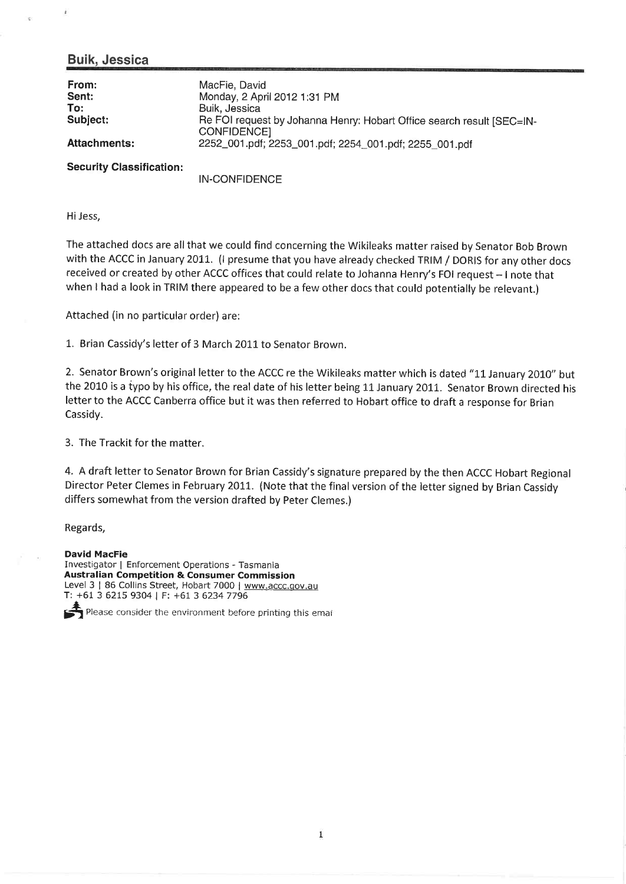### Buik, Jessica

j,

| From:<br>Sent:<br>To:<br>Subject:<br><b>Attachments:</b> | MacFie, David<br>Monday, 2 April 2012 1:31 PM<br>Buik, Jessica<br>Re FOI request by Johanna Henry: Hobart Office search result [SEC=IN-<br>CONFIDENCE]<br>2252_001.pdf; 2253_001.pdf; 2254_001.pdf; 2255_001.pdf |
|----------------------------------------------------------|------------------------------------------------------------------------------------------------------------------------------------------------------------------------------------------------------------------|
| <b>Security Classification:</b>                          |                                                                                                                                                                                                                  |

IN-CONFIDENCE

Hi Jess,

The attached docs are all that we could find concerning the Wikileaks matter raised by Senator Bob Brown with the ACCC in January 2011. (I presume that you have already checked TRIM / DORIS for any other docs received or created by other ACCC offices that could relate to Johanna Henry's FOI request - I note that when I had a look in TRIM there appeared to be a few other docs that could potentially be relevant.)

Attached (in no particular order) are:

1,. Brian Cassidy's letter of 3 March 2011 to Senator Brown.

2. Senator Brown's original letter to the ACCC re the Wikileaks matter which is dated "11 January 2010" but the 2010 is a typo by his office, the real date of his letter being 1L January 2011. Senator Brown directed his letter to the ACCC Canberra office but it was then referred to Hobart office to draft a response for Brian Cassidy.

3. The Trackit for the matter.

4. A draft letter to Senator Brown for Brian Cassidy's signature prepared by the then ACCC Hobart Regional Director Peter Clemes in February 2011. (Note that the final version of the letter signed by Brian Cassidy differs somewhat from the version drafted by Peter Clemes.)

Regards,

David MacFie Investigator I Enforcement Operations - Tasmania Australian Competition & Consumer Commission Level 3 | 86 Collins Street, Hobart 7000 | www.accc.gov.au T: +61 3 6215 9304 | F: +61 3 62347796

 $\mathcal{F}_1$  Please consider the environment before printing this emal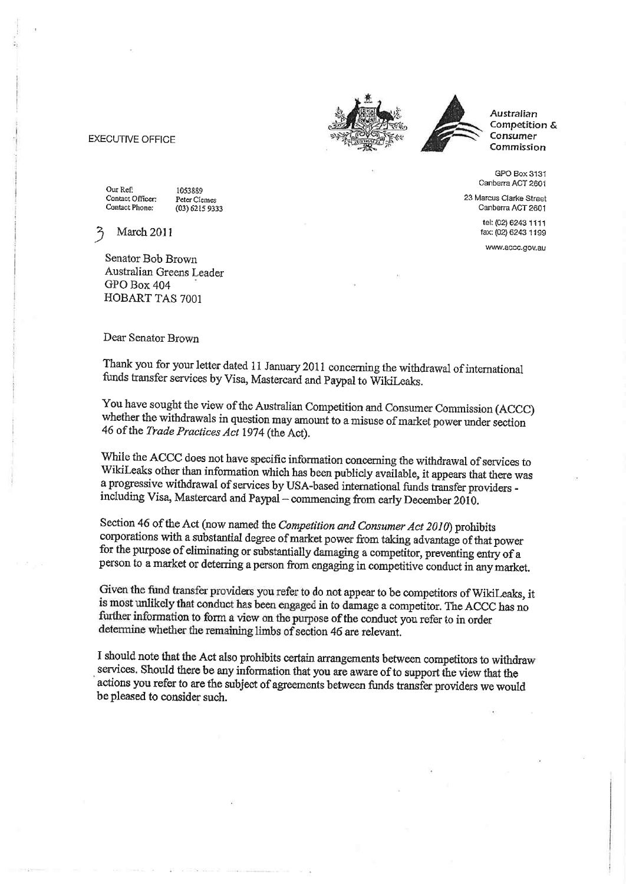#### **EXECUTIVE OFFICE**

Our Ref: Contact Officer: Contact Phone:

1053889 Peter Clemes (03) 6215 9333

March 2011

Senator Bob Brown Australian Greens Leader GPO Box 404 HOBART TAS 7001

Dear Senator Brown

Thank you for your letter dated 11 January 2011 concerning the withdrawal of international funds transfer services by Visa, Mastercard and Paypal to WikiLeaks.

You have sought the view of the Australian Competition and Consumer Commission (ACCC) whether the withdrawals in question may amount to a misuse of market power under section 46 of the Trade Practices Act 1974 (the Act).

While the ACCC does not have specific information concerning the withdrawal of services to WikiLeaks other than information which has been publicly available, it appears that there was a progressive withdrawal of services by USA-based international funds transfer providers including Visa, Mastercard and Paypal - commencing from early December 2010.

Section 46 of the Act (now named the Competition and Consumer Act 2010) prohibits corporations with a substantial degree of market power from taking advantage of that power for the purpose of eliminating or substantially damaging a competitor, preventing entry of a person to a market or deterring a person from engaging in competitive conduct in any market.

Given the fund transfer providers you refer to do not appear to be competitors of WikiLeaks, it is most unlikely that conduct has been engaged in to damage a competitor. The ACCC has no further information to form a view on the purpose of the conduct you refer to in order determine whether the remaining limbs of section 46 are relevant.

I should note that the Act also prohibits certain arrangements between competitors to withdraw services. Should there be any information that you are aware of to support the view that the actions you refer to are the subject of agreements between funds transfer providers we would be pleased to consider such.





Australian Competition & Consumer Commission

GPO Box 3131 Canberra ACT 2601

23 Marcus Clarke Street Canberra ACT 2601

> tel: (02) 6243 1111 fax: (02) 6243 1199

www.accc.gov.au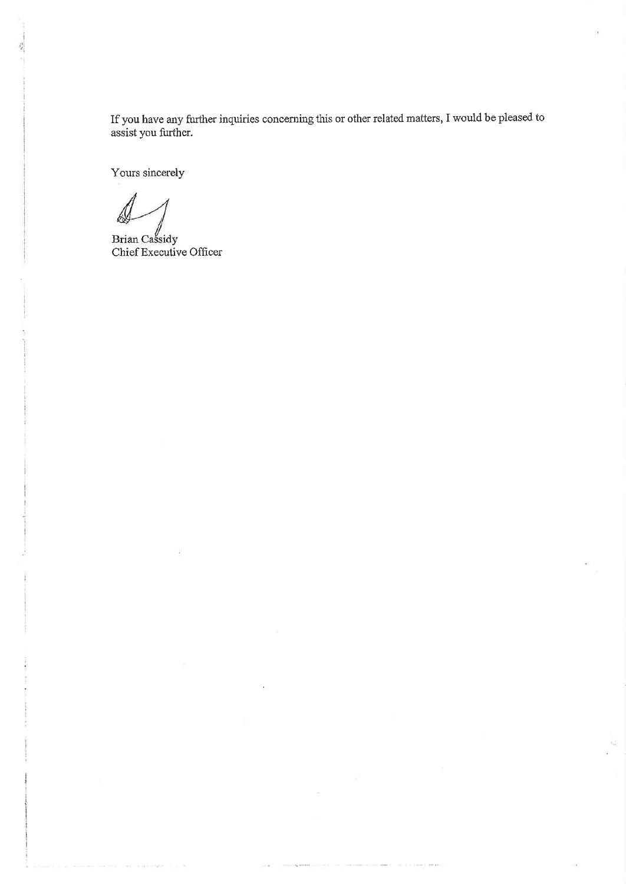If you have any further inquiries concerning this or other related matters, I would be pleased to assist you further.

Yours sincerely

Brian Cassidy<br>Chief Executive Officer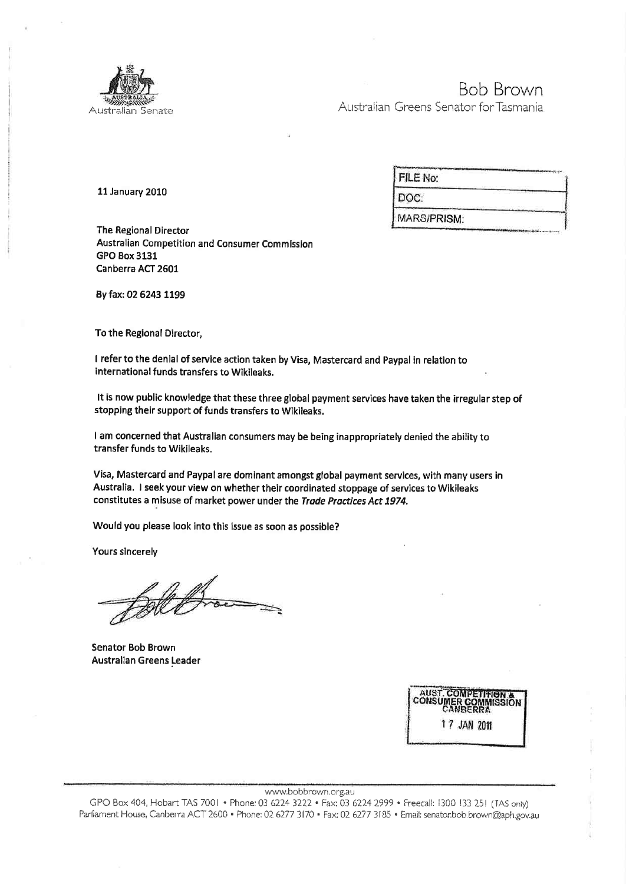

# **Bob Brown**

Australian Greens Senator for Tasmania

**11 January 2010** 

| FILE No:    |  |
|-------------|--|
| DOC:        |  |
| MARS/PRISM: |  |

**The Regional Director** Australian Competition and Consumer Commission **GPO Box 3131** Canberra ACT 2601

By fax: 02 6243 1199

To the Regional Director,

I refer to the denial of service action taken by Visa, Mastercard and Paypal in relation to international funds transfers to Wikileaks.

It is now public knowledge that these three global payment services have taken the irregular step of stopping their support of funds transfers to Wikileaks.

I am concerned that Australian consumers may be being inappropriately denied the ability to transfer funds to Wikileaks.

Visa, Mastercard and Paypal are dominant amongst global payment services, with many users in Australia. I seek your view on whether their coordinated stoppage of services to Wikileaks constitutes a misuse of market power under the Trade Practices Act 1974.

Would you please look into this issue as soon as possible?

Yours sincerely

Senator Bob Brown Australian Greens Leader

| CANRERRA    | <b>AUST. COMPETITION &amp;</b><br><b>CONSUMER COMMISSION</b> |
|-------------|--------------------------------------------------------------|
| 17 JAN 2011 |                                                              |
|             |                                                              |

www.bobbrown.org.au

GPO Box 404, Hobart TAS 7001 • Phone: 03 6224 3222 • Fax: 03 6224 2999 • Freecall: 1300 133 251 (TAS only) Parliament House, Canberra ACT 2600 · Phone: 02 6277 3170 · Fax: 02 6277 3185 · Email: senator.bob.brown@aph.gov.au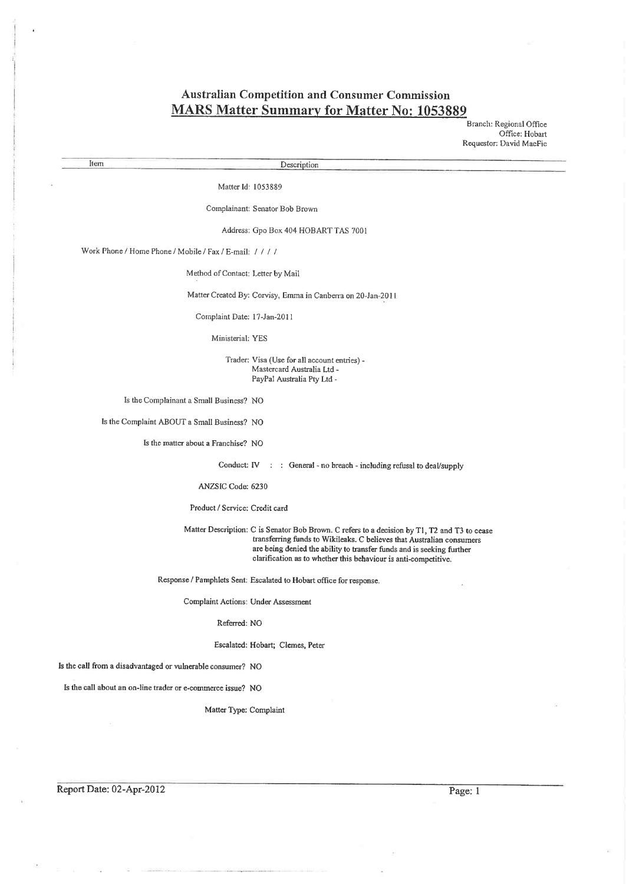## Australian Competition and Consumer Commission MARS Matter Summary for Matter No: 1053889

Branch: Regional Office Office: Hobart Requestor: David MacFie

Item Description

Matter Id: 1053889

Complainant: Senator Bob Brown

Address: Gpo Box 404 HOBART TAS 7001

Work Phone / Home Phone / Mobile / Fax / E-mail: / / / /

Method of Contact: l.etter by Mail

Matter Created By: Corvisy, Emma ín Canberra on 20-Jan-201 <sup>|</sup>

Complaint Date: l7-Jan-201 I

Ministerial: YES

Trader: Visa (Use for all account entries) - Mastercard Australia Ltd - PayPal Australia Pty Ltd -

Is the Complainant a Small Business? NO

ls the Complaint ABOUT a Small Businæs? NO

Is the matter about a Franchise? NO

Conduct:  $IV : :$  General - no breach - including refusal to deal/supply

ANZSIC Code: 6230

Product / Service: Credit card

Matter Description: C is Senator Bob Brown. C refers to a decision by T1, T2 and T3 to cease transferring funds to Wikileaks. C believes that Australian consumers are being denied the ability to transfer funds and is seeking further clarification as to whether this behaviour is anti-competitive.

Response / Parnphlets Sent: Escalated to Hobart ofüce for response.

Complaint Actions: Under Assessment

Refened: NO

Escalated: Hobart; Clemes, Peter

Is the call from a disadvantaged or wlnerable consumer? NO

Is the call about an on-line trader or e-commerce issue? NO

Matter Type: Complaint

Report Date: 02-Apr-2012 Page: 1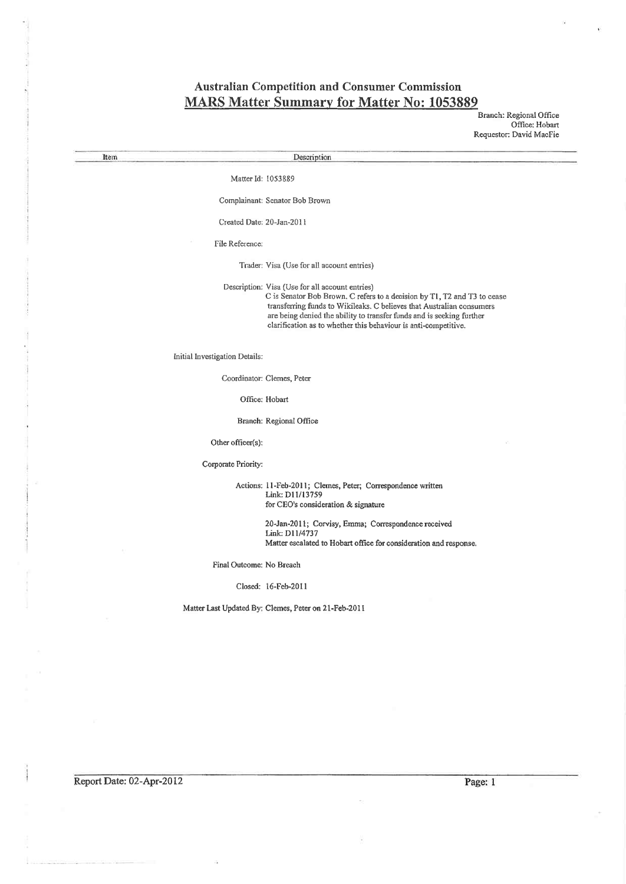# **Australian Competition and Consumer Commission<br>MARS Matter Summary for Matter No: 1053889**

Branch: Regional Office

|                      |                                | Requestor: David MacFie                                                                                                                                                                                                                                                                                                                          |
|----------------------|--------------------------------|--------------------------------------------------------------------------------------------------------------------------------------------------------------------------------------------------------------------------------------------------------------------------------------------------------------------------------------------------|
| Item                 |                                | Description                                                                                                                                                                                                                                                                                                                                      |
|                      | Matter Id: 1053889             |                                                                                                                                                                                                                                                                                                                                                  |
|                      |                                | Complainant: Senator Bob Brown                                                                                                                                                                                                                                                                                                                   |
|                      | Created Date: 20-Jan-2011      |                                                                                                                                                                                                                                                                                                                                                  |
|                      |                                |                                                                                                                                                                                                                                                                                                                                                  |
|                      | File Reference:                |                                                                                                                                                                                                                                                                                                                                                  |
|                      |                                | Trader: Visa (Use for all account entries)                                                                                                                                                                                                                                                                                                       |
|                      |                                | Description: Visa (Use for all account entries)<br>C is Senator Bob Brown. C refers to a decision by T1, T2 and T3 to cease<br>transferring funds to Wikileaks. C believes that Australian consumers<br>are being denied the ability to transfer funds and is seeking further<br>clarification as to whether this behaviour is anti-competitive. |
|                      | Initial Investigation Details: |                                                                                                                                                                                                                                                                                                                                                  |
|                      |                                | Coordinator: Clemes, Peter                                                                                                                                                                                                                                                                                                                       |
|                      |                                | Office: Hobart                                                                                                                                                                                                                                                                                                                                   |
|                      |                                | Branch: Regional Office                                                                                                                                                                                                                                                                                                                          |
|                      | Other officer(s):              |                                                                                                                                                                                                                                                                                                                                                  |
|                      | Corporate Priority:            |                                                                                                                                                                                                                                                                                                                                                  |
|                      |                                | Actions: 11-Feb-2011; Clemes, Peter; Correspondence written<br>Link: D11/13759<br>for CEO's consideration & signature                                                                                                                                                                                                                            |
|                      |                                | 20-Jan-2011; Corvisy, Emma; Correspondence received<br>Link: D11/4737<br>Matter escalated to Hobart office for consideration and response.                                                                                                                                                                                                       |
|                      | Final Outcome: No Breach       |                                                                                                                                                                                                                                                                                                                                                  |
|                      |                                | Closed: 16-Feb-2011                                                                                                                                                                                                                                                                                                                              |
|                      |                                | Matter Last Updated By; Clemes, Peter on 21-Feb-2011                                                                                                                                                                                                                                                                                             |
| $\mathcal{R}^{\ast}$ |                                |                                                                                                                                                                                                                                                                                                                                                  |
|                      |                                |                                                                                                                                                                                                                                                                                                                                                  |
|                      |                                |                                                                                                                                                                                                                                                                                                                                                  |
|                      |                                |                                                                                                                                                                                                                                                                                                                                                  |
|                      |                                |                                                                                                                                                                                                                                                                                                                                                  |
| x                    |                                |                                                                                                                                                                                                                                                                                                                                                  |
|                      |                                |                                                                                                                                                                                                                                                                                                                                                  |

Report Date: 02-Apr-2012

Page: 1